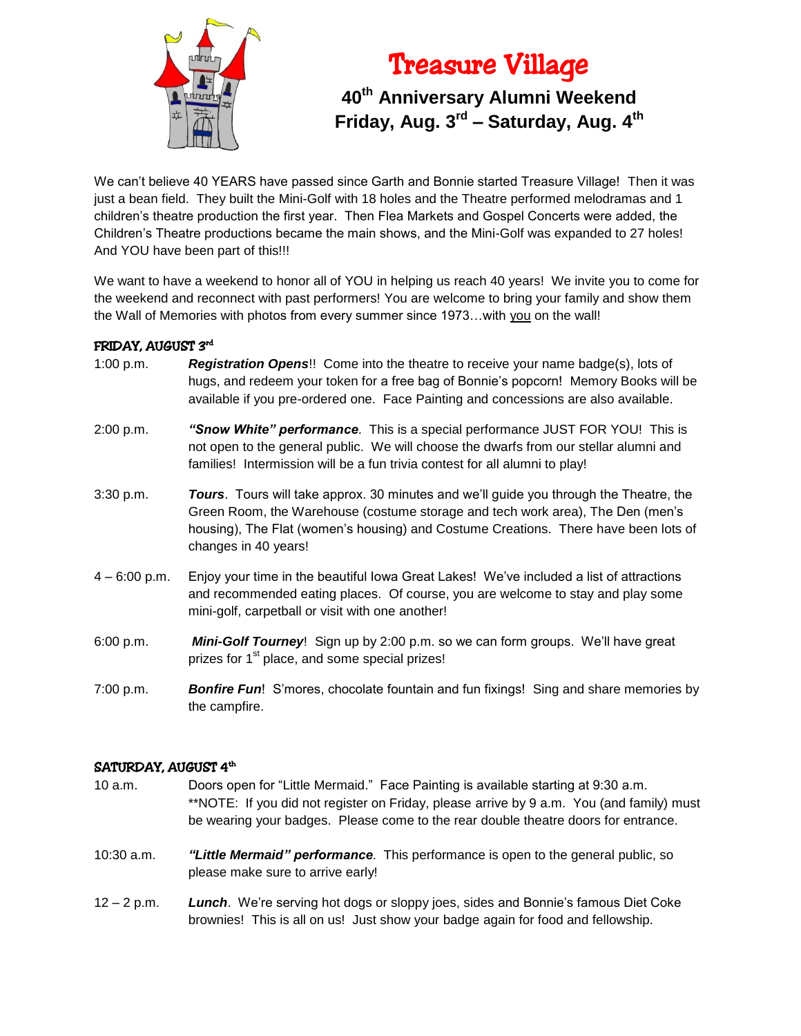

# Treasure Village

# **40th Anniversary Alumni Weekend Friday, Aug. 3rd – Saturday, Aug. 4th**

We can't believe 40 YEARS have passed since Garth and Bonnie started Treasure Village! Then it was just a bean field. They built the Mini-Golf with 18 holes and the Theatre performed melodramas and 1 children's theatre production the first year. Then Flea Markets and Gospel Concerts were added, the Children's Theatre productions became the main shows, and the Mini-Golf was expanded to 27 holes! And YOU have been part of this!!!

We want to have a weekend to honor all of YOU in helping us reach 40 years! We invite you to come for the weekend and reconnect with past performers! You are welcome to bring your family and show them the Wall of Memories with photos from every summer since 1973...with you on the wall!

# FRIDAY, AUGUST 3<sup>rd</sup>

- 1:00 p.m. *Registration Opens*!! Come into the theatre to receive your name badge(s), lots of hugs, and redeem your token for a free bag of Bonnie's popcorn! Memory Books will be available if you pre-ordered one. Face Painting and concessions are also available.
- 2:00 p.m. *"Snow White" performance*. This is a special performance JUST FOR YOU! This is not open to the general public. We will choose the dwarfs from our stellar alumni and families! Intermission will be a fun trivia contest for all alumni to play!
- 3:30 p.m. *Tours*. Tours will take approx. 30 minutes and we'll guide you through the Theatre, the Green Room, the Warehouse (costume storage and tech work area), The Den (men's housing), The Flat (women's housing) and Costume Creations. There have been lots of changes in 40 years!
- 4 6:00 p.m. Enjoy your time in the beautiful Iowa Great Lakes! We've included a list of attractions and recommended eating places. Of course, you are welcome to stay and play some mini-golf, carpetball or visit with one another!
- 6:00 p.m. *Mini-Golf Tourney*! Sign up by 2:00 p.m. so we can form groups. We'll have great prizes for 1<sup>st</sup> place, and some special prizes!
- 7:00 p.m. *Bonfire Fun*! S'mores, chocolate fountain and fun fixings! Sing and share memories by the campfire.

# SATURDAY, AUGUST 4th

- 10 a.m. Doors open for "Little Mermaid." Face Painting is available starting at 9:30 a.m. \*\*NOTE: If you did not register on Friday, please arrive by 9 a.m. You (and family) must be wearing your badges. Please come to the rear double theatre doors for entrance.
- 10:30 a.m. *"Little Mermaid" performance*. This performance is open to the general public, so please make sure to arrive early!
- 12 2 p.m. *Lunch*. We're serving hot dogs or sloppy joes, sides and Bonnie's famous Diet Coke brownies! This is all on us! Just show your badge again for food and fellowship.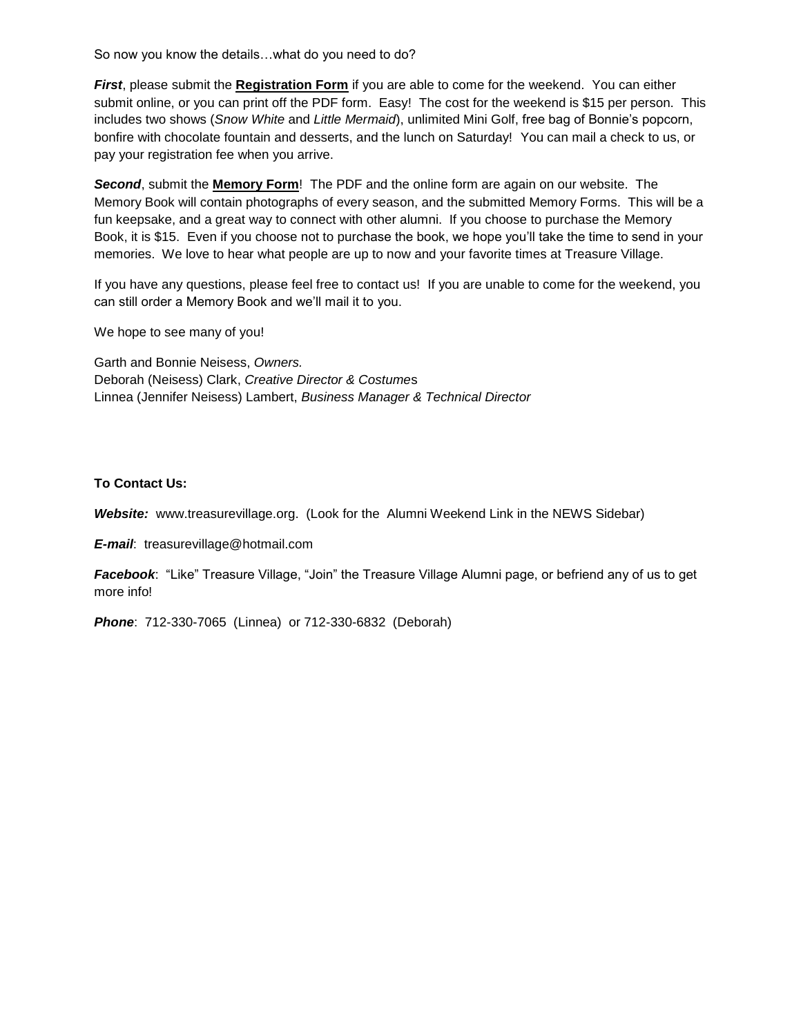So now you know the details…what do you need to do?

*First*, please submit the **Registration Form** if you are able to come for the weekend. You can either submit online, or you can print off the PDF form. Easy! The cost for the weekend is \$15 per person. This includes two shows (*Snow White* and *Little Mermaid*), unlimited Mini Golf, free bag of Bonnie's popcorn, bonfire with chocolate fountain and desserts, and the lunch on Saturday! You can mail a check to us, or pay your registration fee when you arrive.

*Second*, submit the **Memory Form**! The PDF and the online form are again on our website. The Memory Book will contain photographs of every season, and the submitted Memory Forms. This will be a fun keepsake, and a great way to connect with other alumni. If you choose to purchase the Memory Book, it is \$15. Even if you choose not to purchase the book, we hope you'll take the time to send in your memories. We love to hear what people are up to now and your favorite times at Treasure Village.

If you have any questions, please feel free to contact us! If you are unable to come for the weekend, you can still order a Memory Book and we'll mail it to you.

We hope to see many of you!

Garth and Bonnie Neisess, *Owners.* Deborah (Neisess) Clark, *Creative Director & Costume*s Linnea (Jennifer Neisess) Lambert, *Business Manager & Technical Director*

#### **To Contact Us:**

*Website:* www.treasurevillage.org. (Look for the Alumni Weekend Link in the NEWS Sidebar)

*E-mail*: treasurevillage@hotmail.com

*Facebook*: "Like" Treasure Village, "Join" the Treasure Village Alumni page, or befriend any of us to get more info!

*Phone*: 712-330-7065 (Linnea) or 712-330-6832 (Deborah)